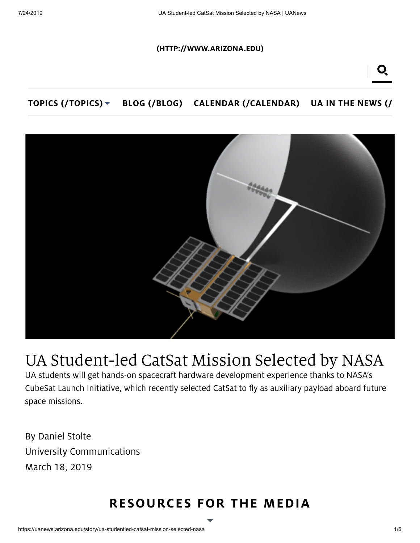#### [\(HTTP://WWW.ARIZONA.EDU\)](http://www.arizona.edu/)

#### TOPICS [\(/TOPICS\)](https://uanews.arizona.edu/topics) V BLOG [\(/BLOG\)](https://uanews.arizona.edu/blog) CALENDAR [\(/CALENDAR\)](https://uanews.arizona.edu/calendar) UA IN THE [NEWS](https://uanews.arizona.edu/news/ua-in-the-news) (/



# UA Student-led CatSat Mission Selected by NASA

UA students will get hands-on spacecraft hardware development experience thanks to NASA's CubeSat Launch Initiative, which recently selected CatSat to fly as auxiliary payload aboard future space missions.

By Daniel Stolte University Communications March 18, 2019

# RESOURCES FOR THE MEDIA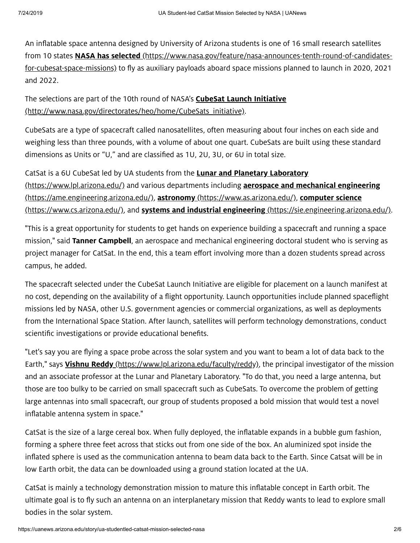An inflatable space antenna designed by University of Arizona students is one of 16 small research satellites from 10 states **NASA has selected** [\(https://www.nasa.gov/feature/nasa-announces-tenth-round-of-candidates](https://www.nasa.gov/feature/nasa-announces-tenth-round-of-candidates-for-cubesat-space-missions)for-cubesat-space-missions) to fly as auxiliary payloads aboard space missions planned to launch in 2020, 2021 and 2022.

The selections are part of the 10th round of NASA's **CubeSat Launch Initiative** [\(http://www.nasa.gov/directorates/heo/home/CubeSats\\_initiative\).](http://www.nasa.gov/directorates/heo/home/CubeSats_initiative)

CubeSats are a type of spacecraft called nanosatellites, often measuring about four inches on each side and weighing less than three pounds, with a volume of about one quart. CubeSats are built using these standard dimensions as Units or "U," and are classified as 1U, 2U, 3U, or 6U in total size.

CatSat is a 6U CubeSat led by UA students from the **Lunar and Planetary Laboratory** [\(https://www.lpl.arizona.edu/\)](https://www.lpl.arizona.edu/) and various departments including **aerospace and mechanical engineering** [\(https://ame.engineering.arizona.edu/\),](https://www.cs.arizona.edu/) astronomy [\(https://www.as.arizona.edu/\),](https://www.as.arizona.edu/) computer science (https://www.cs.arizona.edu/), and **systems and industrial engineering** [\(https://sie.engineering.arizona.edu/\).](https://sie.engineering.arizona.edu/)

"This is a great opportunity for students to get hands on experience building a spacecraft and running a space mission," said Tanner Campbell, an aerospace and mechanical engineering doctoral student who is serving as project manager for CatSat. In the end, this a team effort involving more than a dozen students spread across campus, he added.

The spacecraft selected under the CubeSat Launch Initiative are eligible for placement on a launch manifest at no cost, depending on the availability of a flight opportunity. Launch opportunities include planned spaceflight missions led by NASA, other U.S. government agencies or commercial organizations, as well as deployments from the International Space Station. After launch, satellites will perform technology demonstrations, conduct scientific investigations or provide educational benefits.

"Let's say you are flying a space probe across the solar system and you want to beam a lot of data back to the Earth," says **Vishnu Reddy** [\(https://www.lpl.arizona.edu/faculty/reddy\)](https://www.lpl.arizona.edu/faculty/reddy), the principal investigator of the mission and an associate professor at the Lunar and Planetary Laboratory. "To do that, you need a large antenna, but those are too bulky to be carried on small spacecraft such as CubeSats. To overcome the problem of getting large antennas into small spacecraft, our group of students proposed a bold mission that would test a novel inflatable antenna system in space."

CatSat is the size of a large cereal box. When fully deployed, the inflatable expands in a bubble gum fashion, forming a sphere three feet across that sticks out from one side of the box. An aluminized spot inside the inflated sphere is used as the communication antenna to beam data back to the Earth. Since Catsat will be in low Earth orbit, the data can be downloaded using a ground station located at the UA.

CatSat is mainly a technology demonstration mission to mature this inflatable concept in Earth orbit. The ultimate goal is to fly such an antenna on an interplanetary mission that Reddy wants to lead to explore small bodies in the solar system.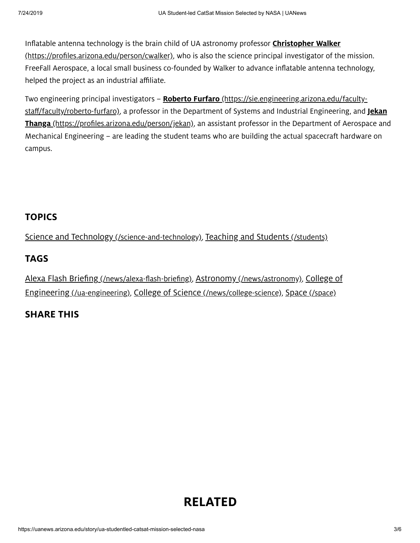Inflatable antenna technology is the brain child of UA astronomy professor *Christopher Walker* [\(https://profiles.arizona.edu/person/cwalker\),](https://profiles.arizona.edu/person/cwalker) who is also the science principal investigator of the mission. FreeFall Aerospace, a local small business co-founded by Walker to advance inflatable antenna technology, helped the project as an industrial affiliate.

Two engineering principal investigators - Roberto Furfaro [\(https://sie.engineering.arizona.edu/faculty](https://sie.engineering.arizona.edu/faculty-staff/faculty/roberto-furfaro)staff/faculty/roberto-furfaro), a professor in the Department of Systems and Industrial Engineering, and Jekan Thanga [\(https://profiles.arizona.edu/person/jekan\),](https://profiles.arizona.edu/person/jekan) an assistant professor in the Department of Aerospace and Mechanical Engineering – are leading the student teams who are building the actual spacecraft hardware on campus.

## **TOPICS**

Science and Technology [\(/science-and-technology\),](https://uanews.arizona.edu/science-and-technology) Teaching and Students [\(/students\)](https://uanews.arizona.edu/students)

## TAGS

Alexa Flash Briefing [\(/news/alexa-flash-briefing\)](https://uanews.arizona.edu/news/alexa-flash-briefing)[,](https://uanews.arizona.edu/ua-engineering) Astronomy [\(/news/astronomy\),](https://uanews.arizona.edu/news/astronomy) College of Engineering (/ua-engineering), College of Science [\(/news/college-science\),](https://uanews.arizona.edu/news/college-science) Space [\(/space\)](https://uanews.arizona.edu/space)

## SHARE THIS

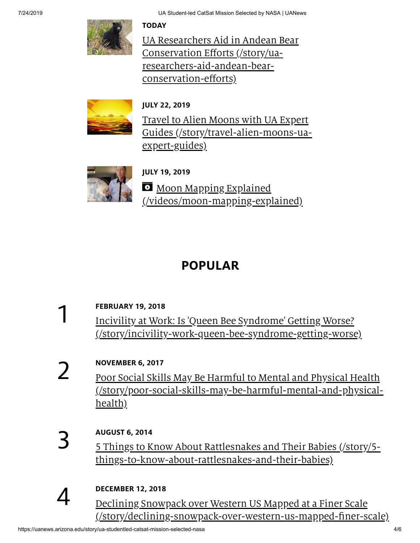**TODAY** 

UA Researchers Aid in Andean Bear Conservation Efforts (/story/ua[researchers-aid-andean-bear](https://uanews.arizona.edu/story/ua-researchers-aid-andean-bear-conservation-efforts)conservation-efforts)



## JULY 22, 2019

Travel to Alien Moons with UA Expert Guides [\(/story/travel-alien-moons-ua](https://uanews.arizona.edu/story/travel-alien-moons-ua-expert-guides)expert-guides)



JULY 19, 2019 **Moon Mapping Explained** [\(/videos/moon-mapping-explained\)](https://uanews.arizona.edu/videos/moon-mapping-explained)

# POPULAR

#### FEBRUARY 19, 2018 Incivility at Work: Is 'Queen Bee Syndrome' Getting Worse? 1

[\(/story/incivility-work-queen-bee-syndrome-getting-worse\)](https://uanews.arizona.edu/story/incivility-work-queen-bee-syndrome-getting-worse)

## NOVEMBER 6, 2017

Poor Social Skills May Be Harmful to Mental and Physical Health [\(/story/poor-social-skills-may-be-harmful-mental-and-physical](https://uanews.arizona.edu/story/poor-social-skills-may-be-harmful-mental-and-physical-health)health)

# 3

4

2

## AUGUST 6, 2014

5 Things to Know About Rattlesnakes and Their Babies (/story/5 [things-to-know-about-rattlesnakes-and-their-babies\)](https://uanews.arizona.edu/story/5-things-to-know-about-rattlesnakes-and-their-babies)

## DECEMBER 12, 2018

Declining Snowpack over Western US Mapped at a Finer Scale [\(/story/declining-snowpack-over-western-us-mapped-finer-scale\)](https://uanews.arizona.edu/story/declining-snowpack-over-western-us-mapped-finer-scale)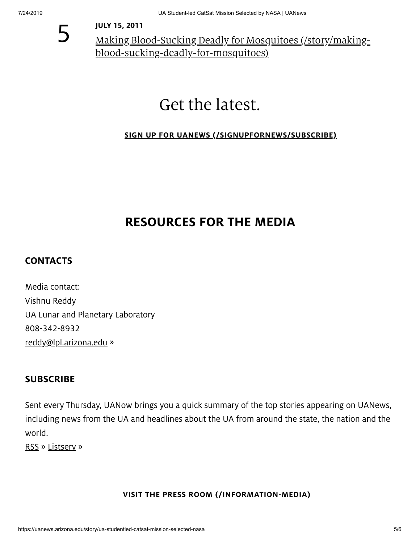

JULY 15, 2011

Making Blood-Sucking Deadly for Mosquitoes (/story/making[blood-sucking-deadly-for-mosquitoes\)](https://uanews.arizona.edu/story/making-blood-sucking-deadly-for-mosquitoes)

# Get the latest.

#### SIGN UP FOR UANEWS [\(/SIGNUPFORNEWS/SUBSCRIBE\)](https://uanews.arizona.edu/signupfornews/subscribe)

# RESOURCES FOR THE MEDIA

#### **CONTACTS**

Media contact: Vishnu Reddy UA Lunar and Planetary Laboratory 808-342-8932 [reddy@lpl.arizona.edu](mailto:reddy@lpl.arizona.edu) »

#### **SUBSCRIBE**

Sent every Thursday, UANow brings you a quick summary of the top stories appearing on UANews, including news from the UA and headlines about the UA from around the state, the nation and the world.

[RSS](https://uanews.arizona.edu/rss) » [Listserv](mailto:newsinfo@email.arizona.edu) »

#### VISIT THE PRESS ROOM [\(/INFORMATION-MEDIA\)](https://uanews.arizona.edu/information-media)